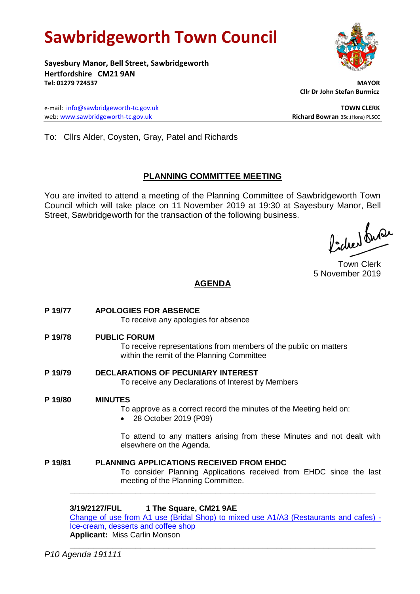# **Sawbridgeworth Town Council**

**Sayesbury Manor, Bell Street, Sawbridgeworth Hertfordshire CM21 9AN Tel: 01279 724537 MAYOR**

e-mail: [info@sawbridgeworth-tc.gov.uk](mailto:info@sawbridgeworth-tc.gov.uk) **TOWN CLERK** web: www.sawbridgeworth-tc.gov.uk<br> **Richard Bowran** BSc.(Hons) PLSCC

 **Cllr Dr John Stefan Burmicz**

To: Cllrs Alder, Coysten, Gray, Patel and Richards

## **PLANNING COMMITTEE MEETING**

You are invited to attend a meeting of the Planning Committee of Sawbridgeworth Town Council which will take place on 11 November 2019 at 19:30 at Sayesbury Manor, Bell Street, Sawbridgeworth for the transaction of the following business.

Podred burer

Town Clerk 5 November 2019

## **AGENDA**

| P 19/77 | <b>APOLOGIES FOR ABSENCE</b><br>To receive any apologies for absence                                                                                         |
|---------|--------------------------------------------------------------------------------------------------------------------------------------------------------------|
| P 19/78 | <b>PUBLIC FORUM</b><br>To receive representations from members of the public on matters<br>within the remit of the Planning Committee                        |
| P 19/79 | <b>DECLARATIONS OF PECUNIARY INTEREST</b><br>To receive any Declarations of Interest by Members                                                              |
| P 19/80 | <b>MINUTES</b><br>To approve as a correct record the minutes of the Meeting held on:<br>28 October 2019 (P09)                                                |
|         | To attend to any matters arising from these Minutes and not dealt with<br>elsewhere on the Agenda.                                                           |
| P 19/81 | <b>PLANNING APPLICATIONS RECEIVED FROM EHDC</b><br>To consider Planning Applications received from EHDC since the last<br>meeting of the Planning Committee. |
|         | 3/19/2127/FUL<br>1 The Square, CM21 9AE<br>Change of use from A1 use (Bridal Shop) to mixed use $A1/A3$ (Restaurants and cafes).                             |

aal Shop) to mixed use A1/A3 (Restaurants and cafes) [Ice-cream, desserts and coffee shop](https://publicaccess.eastherts.gov.uk/online-applications/applicationDetails.do?activeTab=documents&keyVal=PZKSG2GLLKN00) **Applicant:** Miss Carlin Monson

**\_\_\_\_\_\_\_\_\_\_\_\_\_\_\_\_\_\_\_\_\_\_\_\_\_\_\_\_\_\_\_\_\_\_\_\_\_\_\_\_\_\_\_\_\_\_\_\_\_\_\_\_\_\_\_\_\_\_\_\_\_\_\_\_\_**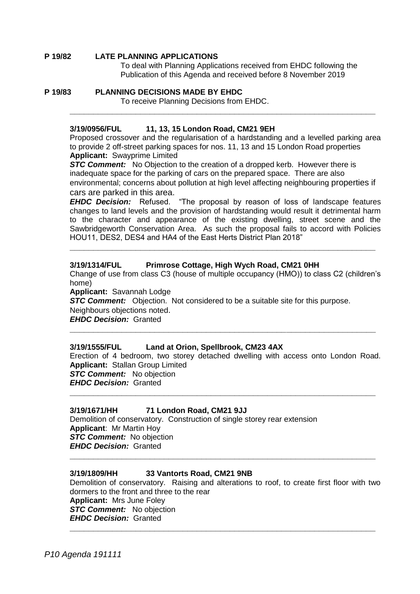#### **P 19/82 LATE PLANNING APPLICATIONS**

To deal with Planning Applications received from EHDC following the Publication of this Agenda and received before 8 November 2019

#### **P 19/83 PLANNING DECISIONS MADE BY EHDC**

To receive Planning Decisions from EHDC.

#### **3/19/0956/FUL 11, 13, 15 London Road, CM21 9EH**

Proposed crossover and the regularisation of a hardstanding and a levelled parking area to provide 2 off-street parking spaces for nos. 11, 13 and 15 London Road properties **Applicant:** Swayprime Limited

**\_\_\_\_\_\_\_\_\_\_\_\_\_\_\_\_\_\_\_\_\_\_\_\_\_\_\_\_\_\_\_\_\_\_\_\_\_\_\_\_\_\_\_\_\_\_\_\_\_\_\_\_\_\_\_\_\_\_\_\_\_\_\_\_\_**

**STC Comment:** No Objection to the creation of a dropped kerb. However there is inadequate space for the parking of cars on the prepared space. There are also environmental; concerns about pollution at high level affecting neighbouring properties if cars are parked in this area.

*EHDC Decision:* Refused. "The proposal by reason of loss of landscape features changes to land levels and the provision of hardstanding would result it detrimental harm to the character and appearance of the existing dwelling, street scene and the Sawbridgeworth Conservation Area. As such the proposal fails to accord with Policies HOU11, DES2, DES4 and HA4 of the East Herts District Plan 2018"

**\_\_\_\_\_\_\_\_\_\_\_\_\_\_\_\_\_\_\_\_\_\_\_\_\_\_\_\_\_\_\_\_\_\_\_\_\_\_\_\_\_\_\_\_\_\_\_\_\_\_\_\_\_\_\_\_\_\_\_\_\_\_\_\_\_**

#### **3/19/1314/FUL Primrose Cottage, High Wych Road, CM21 0HH**

Change of use from class C3 (house of multiple occupancy (HMO)) to class C2 (children's home)

**Applicant:** Savannah Lodge

**STC Comment:** Objection. Not considered to be a suitable site for this purpose. Neighbours objections noted.

*EHDC Decision:* Granted

#### **3/19/1555/FUL Land at Orion, Spellbrook, CM23 4AX**

Erection of 4 bedroom, two storey detached dwelling with access onto London Road. **Applicant:** Stallan Group Limited **STC Comment:** No objection *EHDC Decision:* Granted

**\_\_\_\_\_\_\_\_\_\_\_\_\_\_\_\_\_\_\_\_\_\_\_\_\_\_\_\_\_\_\_\_\_\_\_\_\_\_\_\_\_\_\_\_\_\_\_\_\_\_\_\_\_\_\_\_\_\_\_\_\_\_\_\_\_**

**\_\_\_\_\_\_\_\_\_\_\_\_\_\_\_\_\_\_\_\_\_\_\_\_\_\_\_\_\_\_\_\_\_\_\_\_\_\_\_\_\_\_\_\_\_\_\_\_\_\_\_\_\_\_\_\_\_\_\_\_\_\_\_\_\_**

#### **3/19/1671/HH 71 London Road, CM21 9JJ**

Demolition of conservatory. Construction of single storey rear extension **Applicant**: Mr Martin Hoy *STC Comment:* No objection *EHDC Decision:* Granted **\_\_\_\_\_\_\_\_\_\_\_\_\_\_\_\_\_\_\_\_\_\_\_\_\_\_\_\_\_\_\_\_\_\_\_\_\_\_\_\_\_\_\_\_\_\_\_\_\_\_\_\_\_\_\_\_\_\_\_\_\_\_\_\_\_**

#### **3/19/1809/HH 33 Vantorts Road, CM21 9NB**

Demolition of conservatory. Raising and alterations to roof, to create first floor with two dormers to the front and three to the rear **Applicant:** Mrs June Foley **STC Comment:** No objection *EHDC Decision:* Granted **\_\_\_\_\_\_\_\_\_\_\_\_\_\_\_\_\_\_\_\_\_\_\_\_\_\_\_\_\_\_\_\_\_\_\_\_\_\_\_\_\_\_\_\_\_\_\_\_\_\_\_\_\_\_\_\_\_\_\_\_\_\_\_\_\_**